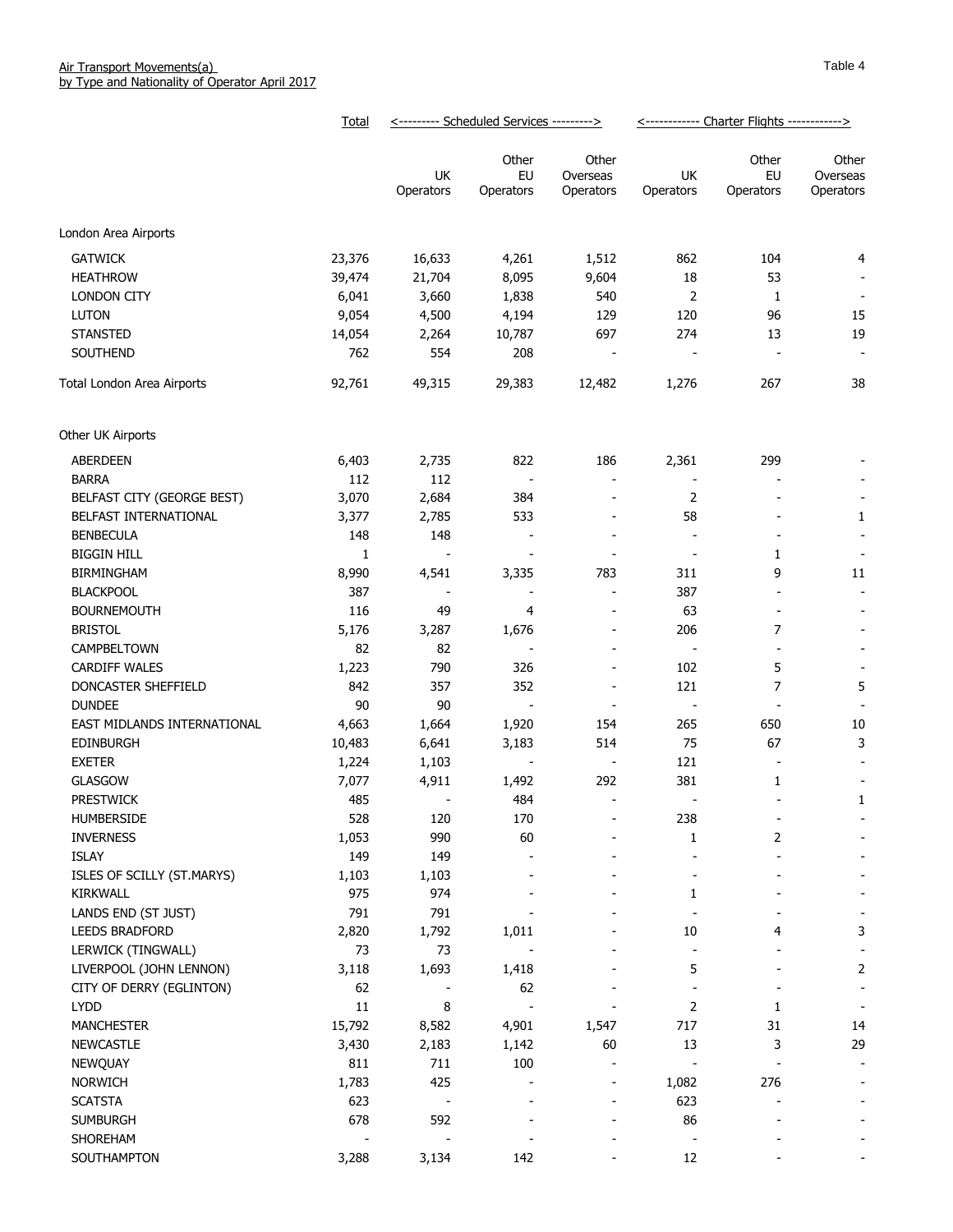|                             | Total  |                          | <--------- Scheduled Services ---------> |                                | <------------ Charter Flights ------------> |                          |                                |
|-----------------------------|--------|--------------------------|------------------------------------------|--------------------------------|---------------------------------------------|--------------------------|--------------------------------|
|                             |        | UK<br>Operators          | Other<br>EU<br>Operators                 | Other<br>Overseas<br>Operators | UK<br>Operators                             | Other<br>EU<br>Operators | Other<br>Overseas<br>Operators |
| London Area Airports        |        |                          |                                          |                                |                                             |                          |                                |
| <b>GATWICK</b>              | 23,376 | 16,633                   | 4,261                                    | 1,512                          | 862                                         | 104                      | 4                              |
| <b>HEATHROW</b>             | 39,474 | 21,704                   | 8,095                                    | 9,604                          | 18                                          | 53                       |                                |
| <b>LONDON CITY</b>          | 6,041  | 3,660                    | 1,838                                    | 540                            | 2                                           | 1                        | $\overline{\phantom{a}}$       |
| <b>LUTON</b>                | 9,054  | 4,500                    | 4,194                                    | 129                            | 120                                         | 96                       | 15                             |
| <b>STANSTED</b>             | 14,054 | 2,264                    | 10,787                                   | 697                            | 274                                         | 13                       | 19                             |
| SOUTHEND                    | 762    | 554                      | 208                                      | $\overline{\phantom{a}}$       | $\overline{\phantom{a}}$                    | $\blacksquare$           | $\overline{\phantom{a}}$       |
| Total London Area Airports  | 92,761 | 49,315                   | 29,383                                   | 12,482                         | 1,276                                       | 267                      | 38                             |
| Other UK Airports           |        |                          |                                          |                                |                                             |                          |                                |
| ABERDEEN                    | 6,403  | 2,735                    | 822                                      | 186                            | 2,361                                       | 299                      |                                |
| <b>BARRA</b>                | 112    | 112                      | $\blacksquare$                           | $\overline{\phantom{a}}$       | $\overline{\phantom{a}}$                    |                          |                                |
| BELFAST CITY (GEORGE BEST)  | 3,070  | 2,684                    | 384                                      | $\qquad \qquad \blacksquare$   | 2                                           |                          |                                |
| BELFAST INTERNATIONAL       | 3,377  | 2,785                    | 533                                      | $\overline{\phantom{a}}$       | 58                                          | $\overline{\phantom{a}}$ | 1                              |
| <b>BENBECULA</b>            | 148    | 148                      | $\overline{\phantom{a}}$                 | $\qquad \qquad \blacksquare$   | $\overline{\phantom{a}}$                    | $\overline{\phantom{a}}$ | $\overline{\phantom{a}}$       |
| <b>BIGGIN HILL</b>          | 1      | $\overline{\phantom{a}}$ | $\overline{a}$                           | ÷                              | $\overline{\phantom{a}}$                    | 1                        | $\overline{\phantom{a}}$       |
| <b>BIRMINGHAM</b>           | 8,990  | 4,541                    | 3,335                                    | 783                            | 311                                         | 9                        | 11                             |
| <b>BLACKPOOL</b>            | 387    | $\overline{\phantom{a}}$ | $\overline{a}$                           | $\sim$                         | 387                                         | $\blacksquare$           | $\overline{\phantom{a}}$       |
| <b>BOURNEMOUTH</b>          | 116    | 49                       | 4                                        | $\overline{\phantom{a}}$       | 63                                          | $\overline{\phantom{a}}$ |                                |
| <b>BRISTOL</b>              | 5,176  | 3,287                    | 1,676                                    | $\overline{\phantom{a}}$       | 206                                         | 7                        |                                |
| CAMPBELTOWN                 | 82     | 82                       | $\overline{\phantom{a}}$                 | $\overline{\phantom{a}}$       | $\overline{\phantom{a}}$                    |                          |                                |
| <b>CARDIFF WALES</b>        | 1,223  | 790                      | 326                                      | $\overline{\phantom{a}}$       | 102                                         | 5                        |                                |
| DONCASTER SHEFFIELD         | 842    | 357                      | 352                                      | $\overline{a}$                 | 121                                         | $\overline{7}$           | 5                              |
| <b>DUNDEE</b>               | 90     | 90                       | $\overline{a}$                           |                                | $\overline{\phantom{a}}$                    |                          |                                |
| EAST MIDLANDS INTERNATIONAL | 4,663  | 1,664                    | 1,920                                    | 154                            | 265                                         | 650                      | 10                             |
| <b>EDINBURGH</b>            | 10,483 | 6,641                    | 3,183                                    | 514                            | 75                                          | 67                       | 3                              |
| <b>EXETER</b>               | 1,224  | 1,103                    |                                          | $\overline{\phantom{a}}$       | 121                                         | $\overline{\phantom{a}}$ |                                |
| <b>GLASGOW</b>              | 7,077  | 4,911                    | 1,492                                    | 292                            | 381                                         | 1                        |                                |
| <b>PRESTWICK</b>            | 485    |                          | 484                                      |                                |                                             |                          | 1                              |
| HUMBERSIDE                  | 528    | 120                      | 170                                      |                                | 238                                         | $\overline{\phantom{a}}$ |                                |
| <b>INVERNESS</b>            | 1,053  | 990                      | 60                                       |                                | 1                                           | 2                        |                                |
| <b>ISLAY</b>                | 149    | 149                      |                                          |                                |                                             |                          |                                |
| ISLES OF SCILLY (ST.MARYS)  | 1,103  | 1,103                    |                                          |                                |                                             |                          |                                |
| <b>KIRKWALL</b>             | 975    | 974                      |                                          |                                | 1                                           |                          |                                |
| LANDS END (ST JUST)         | 791    | 791                      |                                          |                                |                                             |                          |                                |
| <b>LEEDS BRADFORD</b>       | 2,820  | 1,792                    | 1,011                                    |                                | 10                                          | 4                        | 3                              |
| LERWICK (TINGWALL)          | 73     | 73                       |                                          |                                |                                             |                          |                                |
| LIVERPOOL (JOHN LENNON)     | 3,118  | 1,693                    | 1,418                                    |                                | 5                                           |                          | 2                              |
| CITY OF DERRY (EGLINTON)    | 62     |                          | 62                                       |                                |                                             |                          | $\overline{\phantom{a}}$       |
| <b>LYDD</b>                 | 11     | 8                        |                                          |                                | 2                                           | 1                        | $\overline{\phantom{a}}$       |
| <b>MANCHESTER</b>           | 15,792 | 8,582                    | 4,901                                    | 1,547                          | 717                                         | 31                       | 14                             |
| <b>NEWCASTLE</b>            | 3,430  | 2,183                    | 1,142                                    | 60                             | 13                                          | 3                        | 29                             |
| NEWQUAY                     | 811    | 711                      | 100                                      | $\overline{\phantom{a}}$       |                                             |                          |                                |
| NORWICH                     | 1,783  | 425                      |                                          | $\overline{\phantom{a}}$       | 1,082                                       | 276                      |                                |
| <b>SCATSTA</b>              | 623    |                          |                                          |                                | 623                                         |                          |                                |
| <b>SUMBURGH</b>             | 678    | 592                      |                                          |                                | 86                                          |                          |                                |
| SHOREHAM                    |        |                          |                                          |                                |                                             |                          |                                |
| SOUTHAMPTON                 | 3,288  | 3,134                    | 142                                      |                                | 12                                          |                          |                                |